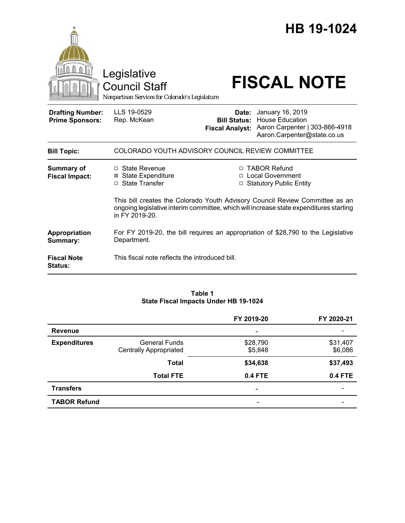|                                                   | Legislative<br><b>Council Staff</b><br>Nonpartisan Services for Colorado's Legislature                                                                                                   |                                                                                            | HB 19-1024<br><b>FISCAL NOTE</b>                                                                                         |  |  |
|---------------------------------------------------|------------------------------------------------------------------------------------------------------------------------------------------------------------------------------------------|--------------------------------------------------------------------------------------------|--------------------------------------------------------------------------------------------------------------------------|--|--|
| <b>Drafting Number:</b><br><b>Prime Sponsors:</b> | LLS 19-0529<br>Rep. McKean                                                                                                                                                               | Date:<br><b>Fiscal Analyst:</b>                                                            | January 16, 2019<br><b>Bill Status: House Education</b><br>Aaron Carpenter   303-866-4918<br>Aaron.Carpenter@state.co.us |  |  |
| <b>Bill Topic:</b>                                | COLORADO YOUTH ADVISORY COUNCIL REVIEW COMMITTEE                                                                                                                                         |                                                                                            |                                                                                                                          |  |  |
| <b>Summary of</b><br><b>Fiscal Impact:</b>        | □ State Revenue<br><b>State Expenditure</b><br>⊠<br>□ State Transfer                                                                                                                     | □ TABOR Refund<br><b>Local Government</b><br>$\Box$<br><b>Statutory Public Entity</b><br>□ |                                                                                                                          |  |  |
|                                                   | This bill creates the Colorado Youth Advisory Council Review Committee as an<br>ongoing legislative interim committee, which will increase state expenditures starting<br>in FY 2019-20. |                                                                                            |                                                                                                                          |  |  |
| Appropriation<br>Summary:                         | For FY 2019-20, the bill requires an appropriation of \$28,790 to the Legislative<br>Department.                                                                                         |                                                                                            |                                                                                                                          |  |  |
| <b>Fiscal Note</b><br>Status:                     | This fiscal note reflects the introduced bill.                                                                                                                                           |                                                                                            |                                                                                                                          |  |  |

#### **Table 1 State Fiscal Impacts Under HB 19-1024**

|                     |                               | FY 2019-20               | FY 2020-21     |
|---------------------|-------------------------------|--------------------------|----------------|
| <b>Revenue</b>      |                               | -                        |                |
| <b>Expenditures</b> | <b>General Funds</b>          | \$28,790                 | \$31,407       |
|                     | <b>Centrally Appropriated</b> | \$5,848                  | \$6,086        |
|                     | <b>Total</b>                  | \$34,638                 | \$37,493       |
|                     | <b>Total FTE</b>              | <b>0.4 FTE</b>           | <b>0.4 FTE</b> |
| <b>Transfers</b>    |                               | $\overline{\phantom{0}}$ |                |
| <b>TABOR Refund</b> |                               | -                        |                |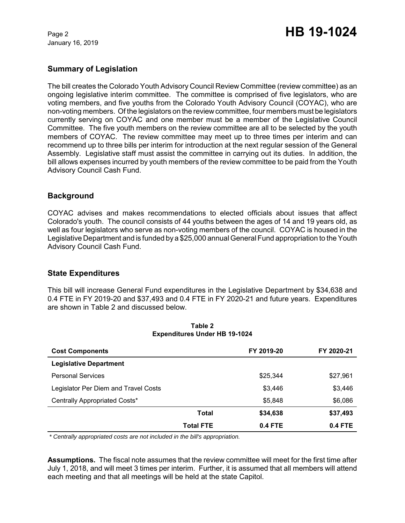January 16, 2019

# Page 2 **HB 19-1024**

# **Summary of Legislation**

The bill creates the Colorado Youth Advisory Council Review Committee (review committee) as an ongoing legislative interim committee. The committee is comprised of five legislators, who are voting members, and five youths from the Colorado Youth Advisory Council (COYAC), who are non-voting members. Of the legislators on the review committee, four members must be legislators currently serving on COYAC and one member must be a member of the Legislative Council Committee. The five youth members on the review committee are all to be selected by the youth members of COYAC. The review committee may meet up to three times per interim and can recommend up to three bills per interim for introduction at the next regular session of the General Assembly. Legislative staff must assist the committee in carrying out its duties. In addition, the bill allows expenses incurred by youth members of the review committee to be paid from the Youth Advisory Council Cash Fund.

# **Background**

COYAC advises and makes recommendations to elected officials about issues that affect Colorado's youth. The council consists of 44 youths between the ages of 14 and 19 years old, as well as four legislators who serve as non-voting members of the council. COYAC is housed in the Legislative Department and is funded by a \$25,000 annual General Fund appropriation to the Youth Advisory Council Cash Fund.

### **State Expenditures**

This bill will increase General Fund expenditures in the Legislative Department by \$34,638 and 0.4 FTE in FY 2019-20 and \$37,493 and 0.4 FTE in FY 2020-21 and future years. Expenditures are shown in Table 2 and discussed below.

| <b>Cost Components</b>               |                  | FY 2019-20 | FY 2020-21 |
|--------------------------------------|------------------|------------|------------|
| <b>Legislative Department</b>        |                  |            |            |
| <b>Personal Services</b>             |                  | \$25,344   | \$27,961   |
| Legislator Per Diem and Travel Costs |                  | \$3,446    | \$3,446    |
| Centrally Appropriated Costs*        |                  | \$5,848    | \$6,086    |
|                                      | Total            | \$34,638   | \$37,493   |
|                                      | <b>Total FTE</b> | 0.4 FTE    | $0.4$ FTE  |

#### **Table 2 Expenditures Under HB 19-1024**

 *\* Centrally appropriated costs are not included in the bill's appropriation.*

**Assumptions.** The fiscal note assumes that the review committee will meet for the first time after July 1, 2018, and will meet 3 times per interim. Further, it is assumed that all members will attend each meeting and that all meetings will be held at the state Capitol.